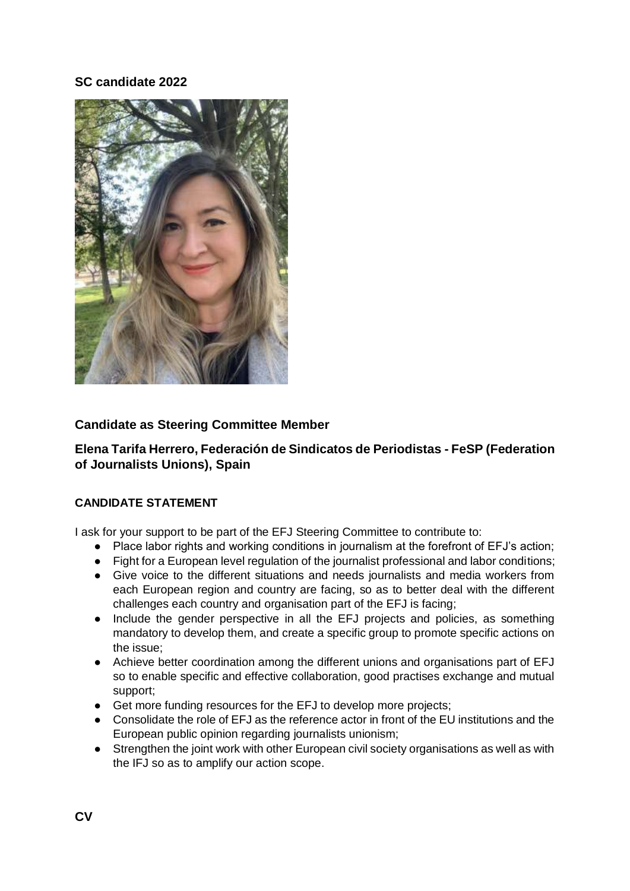## **SC candidate 2022**



## **Candidate as Steering Committee Member**

**Elena Tarifa Herrero, Federación de Sindicatos de Periodistas - FeSP (Federation of Journalists Unions), Spain** 

## **CANDIDATE STATEMENT**

I ask for your support to be part of the EFJ Steering Committee to contribute to:

- Place labor rights and working conditions in journalism at the forefront of EFJ's action;
- Fight for a European level regulation of the journalist professional and labor conditions;
- Give voice to the different situations and needs journalists and media workers from each European region and country are facing, so as to better deal with the different challenges each country and organisation part of the EFJ is facing;
- Include the gender perspective in all the EFJ projects and policies, as something mandatory to develop them, and create a specific group to promote specific actions on the issue;
- Achieve better coordination among the different unions and organisations part of EFJ so to enable specific and effective collaboration, good practises exchange and mutual support;
- Get more funding resources for the EFJ to develop more projects;
- Consolidate the role of EFJ as the reference actor in front of the EU institutions and the European public opinion regarding journalists unionism;
- Strengthen the joint work with other European civil society organisations as well as with the IFJ so as to amplify our action scope.